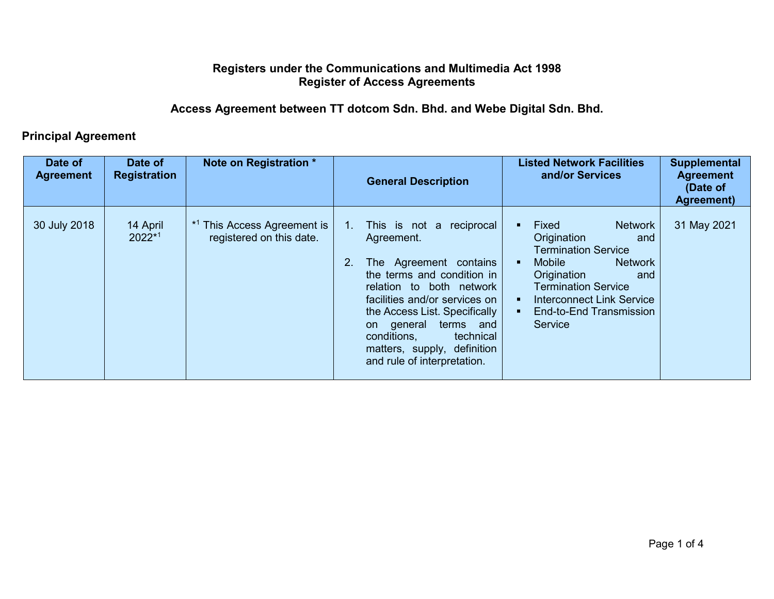## **Registers under the Communications and Multimedia Act 1998 Register of Access Agreements**

**Access Agreement between TT dotcom Sdn. Bhd. and Webe Digital Sdn. Bhd.** 

## **Principal Agreement**

| Date of<br><b>Agreement</b> | Date of<br><b>Registration</b> | Note on Registration *                                             | <b>Listed Network Facilities</b><br>and/or Services<br><b>General Description</b>                                                                                                                                                                                                                                                                                                                                                                  | <b>Supplemental</b><br><b>Agreement</b><br>(Date of<br>Agreement)                                                            |
|-----------------------------|--------------------------------|--------------------------------------------------------------------|----------------------------------------------------------------------------------------------------------------------------------------------------------------------------------------------------------------------------------------------------------------------------------------------------------------------------------------------------------------------------------------------------------------------------------------------------|------------------------------------------------------------------------------------------------------------------------------|
| 30 July 2018                | 14 April<br>$2022*1$           | <sup>*1</sup> This Access Agreement is<br>registered on this date. | Fixed<br>This is not a reciprocal<br>Origination<br>Agreement.<br><b>Termination Service</b><br>2.<br>The Agreement contains<br><b>Mobile</b><br>the terms and condition in<br>Origination<br>Termination Service<br>relation to both network<br>facilities and/or services on<br>the Access List. Specifically<br>terms and<br>Service<br>general<br>on<br>conditions,<br>technical<br>matters, supply, definition<br>and rule of interpretation. | <b>Network</b><br>31 May 2021<br>and<br><b>Network</b><br>and<br><b>Interconnect Link Service</b><br>End-to-End Transmission |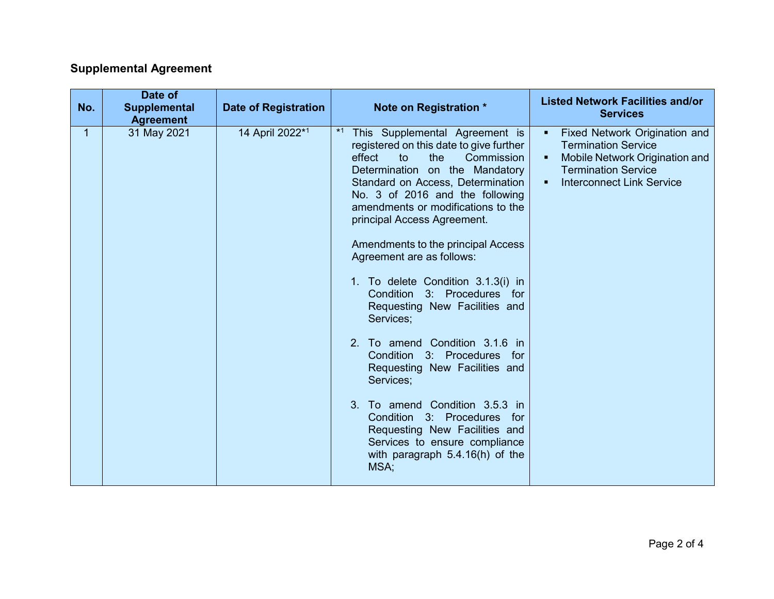## **Supplemental Agreement**

| No. | Date of<br><b>Supplemental</b><br><b>Agreement</b> | <b>Date of Registration</b> | Note on Registration *                                                                                                                                                                                                                                                                                                                                                                                                                                                                                                                                                                                                                                                                                                                                                                     | <b>Listed Network Facilities and/or</b><br><b>Services</b>                                                                                                                                  |
|-----|----------------------------------------------------|-----------------------------|--------------------------------------------------------------------------------------------------------------------------------------------------------------------------------------------------------------------------------------------------------------------------------------------------------------------------------------------------------------------------------------------------------------------------------------------------------------------------------------------------------------------------------------------------------------------------------------------------------------------------------------------------------------------------------------------------------------------------------------------------------------------------------------------|---------------------------------------------------------------------------------------------------------------------------------------------------------------------------------------------|
| 1   | 31 May 2021                                        | 14 April 2022*1             | $*1$<br>This Supplemental Agreement is<br>registered on this date to give further<br>effect<br>to<br>the<br>Commission<br>Determination on the Mandatory<br>Standard on Access, Determination<br>No. 3 of 2016 and the following<br>amendments or modifications to the<br>principal Access Agreement.<br>Amendments to the principal Access<br>Agreement are as follows:<br>1. To delete Condition 3.1.3(i) in<br>Condition 3: Procedures for<br>Requesting New Facilities and<br>Services;<br>2. To amend Condition 3.1.6 in<br>Condition 3: Procedures for<br>Requesting New Facilities and<br>Services;<br>3. To amend Condition 3.5.3 in<br>Condition 3: Procedures for<br>Requesting New Facilities and<br>Services to ensure compliance<br>with paragraph $5.4.16(h)$ of the<br>MSA; | Fixed Network Origination and<br>٠<br><b>Termination Service</b><br>Mobile Network Origination and<br>٠<br><b>Termination Service</b><br><b>Interconnect Link Service</b><br>$\blacksquare$ |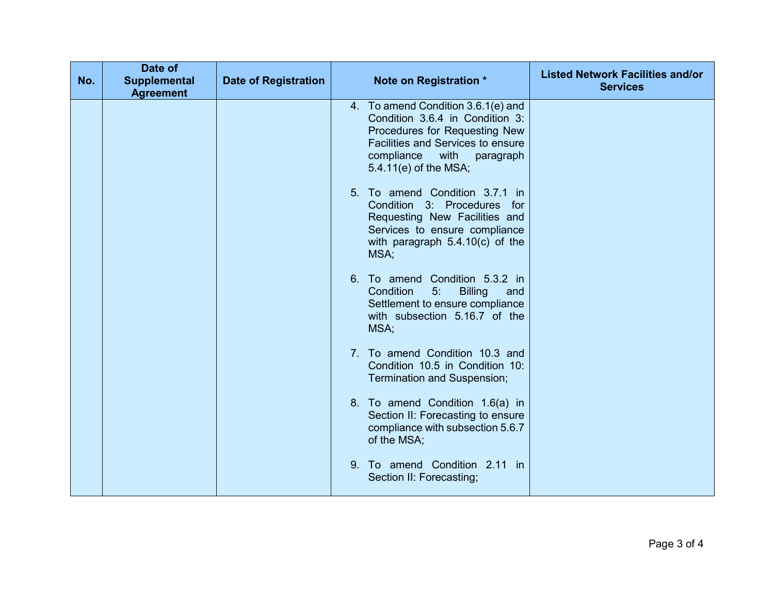| No. | Date of<br><b>Supplemental</b><br><b>Agreement</b> | <b>Date of Registration</b> | Note on Registration *                                                                                                                                                                                         | <b>Listed Network Facilities and/or</b><br><b>Services</b> |
|-----|----------------------------------------------------|-----------------------------|----------------------------------------------------------------------------------------------------------------------------------------------------------------------------------------------------------------|------------------------------------------------------------|
|     |                                                    |                             | 4. To amend Condition 3.6.1(e) and<br>Condition 3.6.4 in Condition 3:<br>Procedures for Requesting New<br><b>Facilities and Services to ensure</b><br>compliance<br>with<br>paragraph<br>5.4.11(e) of the MSA; |                                                            |
|     |                                                    |                             | 5. To amend Condition 3.7.1 in<br>Condition 3: Procedures for<br>Requesting New Facilities and<br>Services to ensure compliance<br>with paragraph $5.4.10(c)$ of the<br>MSA;                                   |                                                            |
|     |                                                    |                             | 6. To amend Condition 5.3.2 in<br>Condition<br>5:<br><b>Billing</b><br>and<br>Settlement to ensure compliance<br>with subsection 5.16.7 of the<br>MSA;                                                         |                                                            |
|     |                                                    |                             | 7. To amend Condition 10.3 and<br>Condition 10.5 in Condition 10:<br>Termination and Suspension;                                                                                                               |                                                            |
|     |                                                    |                             | 8. To amend Condition 1.6(a) in<br>Section II: Forecasting to ensure<br>compliance with subsection 5.6.7<br>of the MSA;                                                                                        |                                                            |
|     |                                                    |                             | To amend Condition 2.11 in<br>9.<br>Section II: Forecasting;                                                                                                                                                   |                                                            |